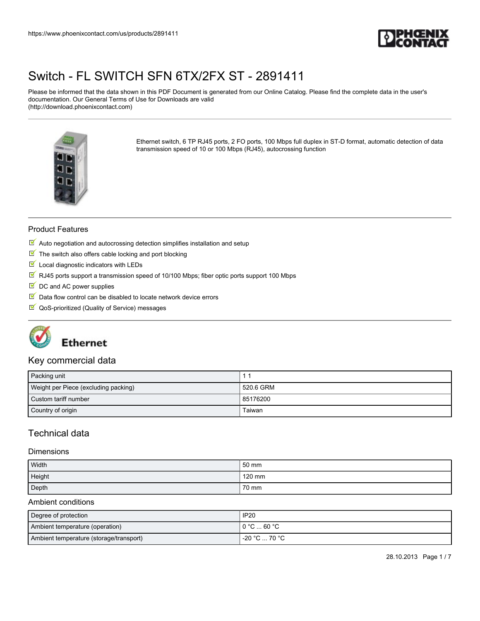

Please be informed that the data shown in this PDF Document is generated from our Online Catalog. Please find the complete data in the user's documentation. Our General Terms of Use for Downloads are valid (http://download.phoenixcontact.com)



Ethernet switch, 6 TP RJ45 ports, 2 FO ports, 100 Mbps full duplex in ST-D format, automatic detection of data transmission speed of 10 or 100 Mbps (RJ45), autocrossing function

#### Product Features

- $\blacksquare$  Auto negotiation and autocrossing detection simplifies installation and setup
- $\blacksquare$  The switch also offers cable locking and port blocking
- $\blacksquare$  Local diagnostic indicators with LEDs
- $\overline{\mathbb{M}}$  RJ45 ports support a transmission speed of 10/100 Mbps; fiber optic ports support 100 Mbps
- $\blacksquare$  DC and AC power supplies
- $\blacksquare$  Data flow control can be disabled to locate network device errors
- QoS-prioritized (Quality of Service) messages



## **Ethernet**

#### Key commercial data

| Packing unit                         |           |
|--------------------------------------|-----------|
| Weight per Piece (excluding packing) | 520.6 GRM |
| Custom tariff number                 | 85176200  |
| Country of origin                    | Taiwan    |

### Technical data

#### **Dimensions**

| Width  | 50 mm  |
|--------|--------|
| Height | 120 mm |
| Depth  | 70 mm  |

#### Ambient conditions

| Degree of protection                    | <b>IP20</b>                           |
|-----------------------------------------|---------------------------------------|
| Ambient temperature (operation)         | $0^{\circ}$ C $$ 60 $^{\circ}$ C $^-$ |
| Ambient temperature (storage/transport) | -20 °C  70 °C                         |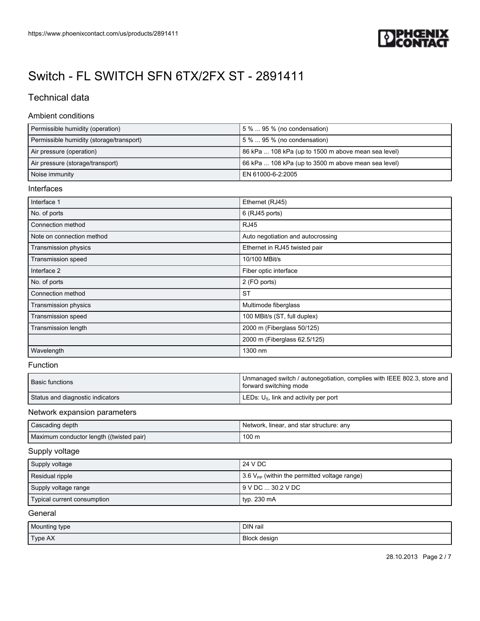

### Technical data

#### Ambient conditions

| Permissible humidity (operation)         | $15\%$ 95 % (no condensation)                       |
|------------------------------------------|-----------------------------------------------------|
| Permissible humidity (storage/transport) | 15 %  95 % (no condensation)                        |
| Air pressure (operation)                 | 86 kPa  108 kPa (up to 1500 m above mean sea level) |
| Air pressure (storage/transport)         | 66 kPa  108 kPa (up to 3500 m above mean sea level) |
| Noise immunity                           | EN 61000-6-2:2005                                   |

#### Interfaces

| Interface 1               | Ethernet (RJ45)                   |
|---------------------------|-----------------------------------|
| No. of ports              | 6 (RJ45 ports)                    |
| Connection method         | <b>RJ45</b>                       |
| Note on connection method | Auto negotiation and autocrossing |
| Transmission physics      | Ethernet in RJ45 twisted pair     |
| Transmission speed        | 10/100 MBit/s                     |
| Interface 2               | Fiber optic interface             |
| No. of ports              | 2 (FO ports)                      |
| Connection method         | <b>ST</b>                         |
| Transmission physics      | Multimode fiberglass              |
| Transmission speed        | 100 MBit/s (ST, full duplex)      |
| Transmission length       | 2000 m (Fiberglass 50/125)        |
|                           | 2000 m (Fiberglass 62.5/125)      |
| Wavelength                | 1300 nm                           |

#### Function

| Basic functions                  | Unmanaged switch / autonegotiation, complies with IEEE 802.3, store and  <br>forward switching mode |
|----------------------------------|-----------------------------------------------------------------------------------------------------|
| Status and diagnostic indicators | LEDs: $U_{\rm s}$ , link and activity per port                                                      |

#### Network expansion parameters

| Cascading depth                          | Network, linear, and star structure: any |
|------------------------------------------|------------------------------------------|
| Maximum conductor length ((twisted pair) | 100 m                                    |

#### Supply voltage

| Supply voltage              | 24 V DC                                                         |
|-----------------------------|-----------------------------------------------------------------|
| Residual ripple             | $\frac{1}{2}$ 3.6 $V_{PP}$ (within the permitted voltage range) |
| Supply voltage range        | 19 V DC  30.2 V DC                                              |
| Typical current consumption | typ. 230 mA                                                     |

#### General

| Mounting type | DIN rail            |
|---------------|---------------------|
| Type AX       | <b>Block design</b> |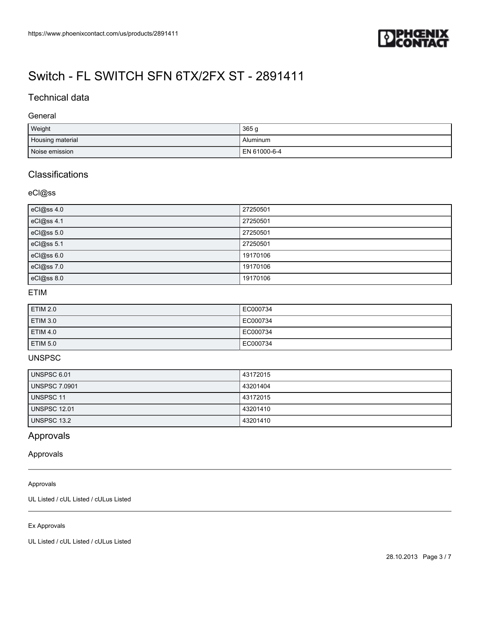

### Technical data

#### General

| Weight           | 365g         |
|------------------|--------------|
| Housing material | Aluminum     |
| Noise emission   | EN 61000-6-4 |

## **Classifications**

#### eCl@ss

| eCl@ss 4.0 | 27250501 |
|------------|----------|
| eCl@ss 4.1 | 27250501 |
| eCl@ss 5.0 | 27250501 |
| eCl@ss 5.1 | 27250501 |
| eCl@ss 6.0 | 19170106 |
| eCl@ss 7.0 | 19170106 |
| eCl@ss 8.0 | 19170106 |

#### ETIM

| <b>ETIM 2.0</b> | EC000734 |
|-----------------|----------|
| <b>ETIM 3.0</b> | EC000734 |
| <b>ETIM 4.0</b> | EC000734 |
| <b>ETIM 5.0</b> | EC000734 |

#### UNSPSC

| UNSPSC 6.01          | 43172015 |
|----------------------|----------|
| <b>UNSPSC 7.0901</b> | 43201404 |
| UNSPSC 11            | 43172015 |
| <b>UNSPSC 12.01</b>  | 43201410 |
| <b>UNSPSC 13.2</b>   | 43201410 |

### Approvals

#### Approvals

#### Approvals

UL Listed / cUL Listed / cULus Listed

#### Ex Approvals

UL Listed / cUL Listed / cULus Listed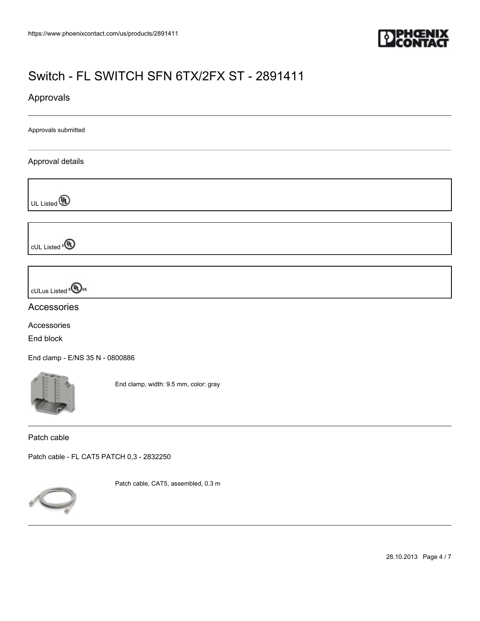

### Approvals

Approvals submitted

#### Approval details

UL Listed **(A)** 

cUL Listed<sup>e</sub></sup>

cULus Listed<sup>e</sub>(Dus</sup>

Accessories

Accessories End block

[End clamp - E/NS 35 N - 0800886](https://www.phoenixcontact.com/us/products/0800886)



End clamp, width: 9.5 mm, color: gray

Patch cable

[Patch cable - FL CAT5 PATCH 0,3 - 2832250](https://www.phoenixcontact.com/us/products/2832250)



Patch cable, CAT5, assembled, 0.3 m

28.10.2013 Page 4 / 7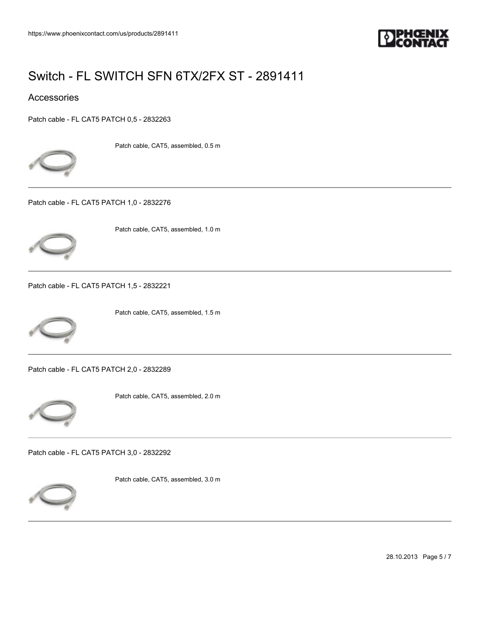

### Accessories

[Patch cable - FL CAT5 PATCH 0,5 - 2832263](https://www.phoenixcontact.com/us/products/2832263)



Patch cable, CAT5, assembled, 0.5 m

[Patch cable - FL CAT5 PATCH 1,0 - 2832276](https://www.phoenixcontact.com/us/products/2832276)



Patch cable, CAT5, assembled, 1.0 m

[Patch cable - FL CAT5 PATCH 1,5 - 2832221](https://www.phoenixcontact.com/us/products/2832221)



Patch cable, CAT5, assembled, 1.5 m

[Patch cable - FL CAT5 PATCH 2,0 - 2832289](https://www.phoenixcontact.com/us/products/2832289)



Patch cable, CAT5, assembled, 2.0 m

[Patch cable - FL CAT5 PATCH 3,0 - 2832292](https://www.phoenixcontact.com/us/products/2832292)



Patch cable, CAT5, assembled, 3.0 m

28.10.2013 Page 5 / 7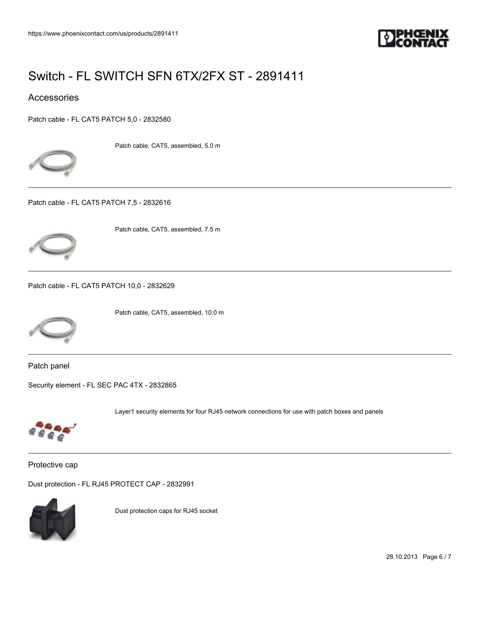

### Accessories

[Patch cable - FL CAT5 PATCH 5,0 - 2832580](https://www.phoenixcontact.com/us/products/2832580)



Patch cable, CAT5, assembled, 5.0 m

[Patch cable - FL CAT5 PATCH 7,5 - 2832616](https://www.phoenixcontact.com/us/products/2832616)



Patch cable, CAT5, assembled, 7.5 m

[Patch cable - FL CAT5 PATCH 10,0 - 2832629](https://www.phoenixcontact.com/us/products/2832629)



Patch cable, CAT5, assembled, 10.0 m

Patch panel

[Security element - FL SEC PAC 4TX - 2832865](https://www.phoenixcontact.com/us/products/2832865)



Layer1 security elements for four RJ45 network connections for use with patch boxes and panels

Protective cap

[Dust protection - FL RJ45 PROTECT CAP - 2832991](https://www.phoenixcontact.com/us/products/2832991)



Dust protection caps for RJ45 socket